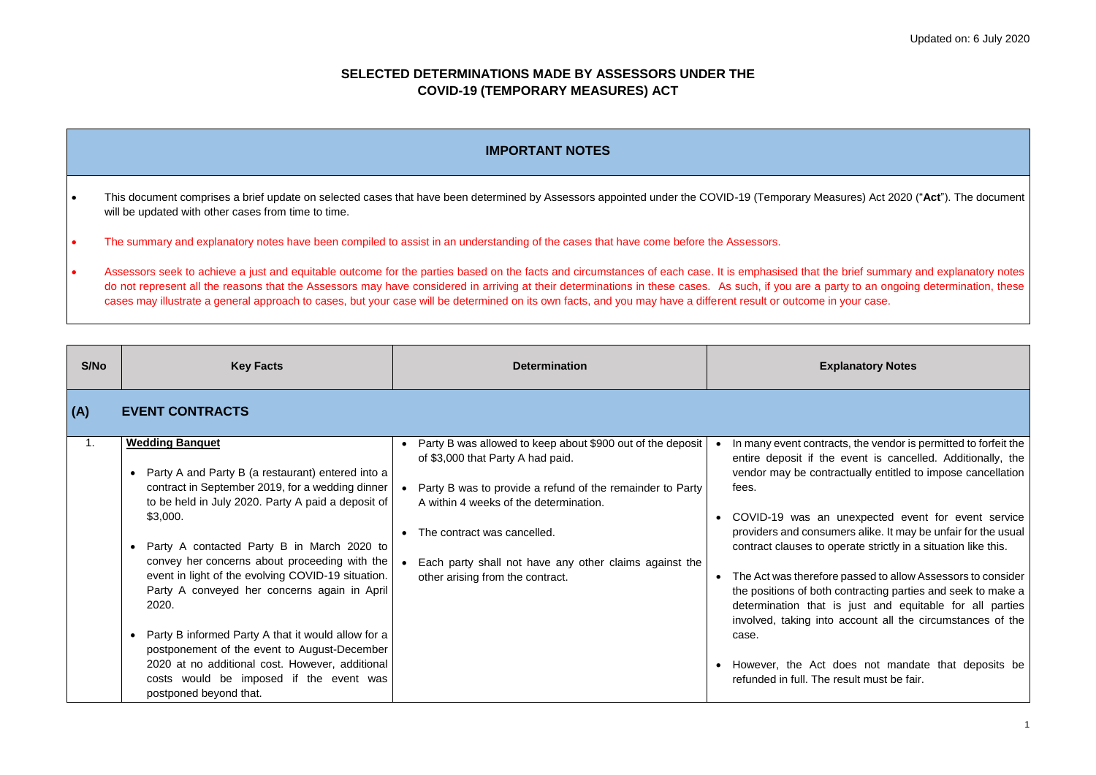racts, the vendor is permitted to forfeit the e event is cancelled. Additionally, the tractually entitled to impose cancellation

unexpected event for event service umers alike. It may be unfair for the usual operate strictly in a situation like this.

re passed to allow Assessors to consider h contracting parties and seek to make a is just and equitable for all parties to account all the circumstances of the

does not mandate that deposits be result must be fair.

# **SELECTED DETERMINATIONS MADE BY ASSESSORS UNDER THE COVID-19 (TEMPORARY MEASURES) ACT**

- This document comprises a brief update on selected cases that have been determined by Assessors appointed under the COVID-19 (Temporary Measures) Act 2020 ("**Act**"). The document will be updated with other cases from time to time.
- The summary and explanatory notes have been compiled to assist in an understanding of the cases that have come before the Assessors.
- Assessors seek to achieve a just and equitable outcome for the parties based on the facts and circumstances of each case. It is emphasised that the brief summary and explanatory notes do not represent all the reasons that the Assessors may have considered in arriving at their determinations in these cases. As such, if you are a party to an ongoing determination, these cases may illustrate a general approach to cases, but your case will be determined on its own facts, and you may have a different result or outcome in your case.

| S/No | <b>Key Facts</b>                                                                                                                                                                                                                                                                                                                                                                                                                                                                                                                                                                                                                                                        | <b>Determination</b>                                                                                                                                                                                                                                                                                                                             | E)                                                                                                                                                                                                                                                                                                             |
|------|-------------------------------------------------------------------------------------------------------------------------------------------------------------------------------------------------------------------------------------------------------------------------------------------------------------------------------------------------------------------------------------------------------------------------------------------------------------------------------------------------------------------------------------------------------------------------------------------------------------------------------------------------------------------------|--------------------------------------------------------------------------------------------------------------------------------------------------------------------------------------------------------------------------------------------------------------------------------------------------------------------------------------------------|----------------------------------------------------------------------------------------------------------------------------------------------------------------------------------------------------------------------------------------------------------------------------------------------------------------|
| (A)  | <b>EVENT CONTRACTS</b>                                                                                                                                                                                                                                                                                                                                                                                                                                                                                                                                                                                                                                                  |                                                                                                                                                                                                                                                                                                                                                  |                                                                                                                                                                                                                                                                                                                |
| 1.   | <b>Wedding Banquet</b><br>Party A and Party B (a restaurant) entered into a<br>$\bullet$<br>contract in September 2019, for a wedding dinner<br>to be held in July 2020. Party A paid a deposit of<br>\$3,000.<br>Party A contacted Party B in March 2020 to<br>$\bullet$<br>convey her concerns about proceeding with the<br>event in light of the evolving COVID-19 situation.<br>Party A conveyed her concerns again in April<br>2020.<br>Party B informed Party A that it would allow for a<br>postponement of the event to August-December<br>2020 at no additional cost. However, additional<br>costs would be imposed if the event was<br>postponed beyond that. | Party B was allowed to keep about \$900 out of the deposit<br>$\bullet$<br>of \$3,000 that Party A had paid.<br>Party B was to provide a refund of the remainder to Party<br>A within 4 weeks of the determination.<br>The contract was cancelled.<br>Each party shall not have any other claims against the<br>other arising from the contract. | In many event contr<br>entire deposit if th<br>vendor may be con<br>fees.<br>COVID-19 was an<br>providers and consu<br>contract clauses to<br>The Act was therefo<br>$\bullet$<br>the positions of both<br>determination that<br>involved, taking inte<br>case.<br>• However, the Act<br>refunded in full. The |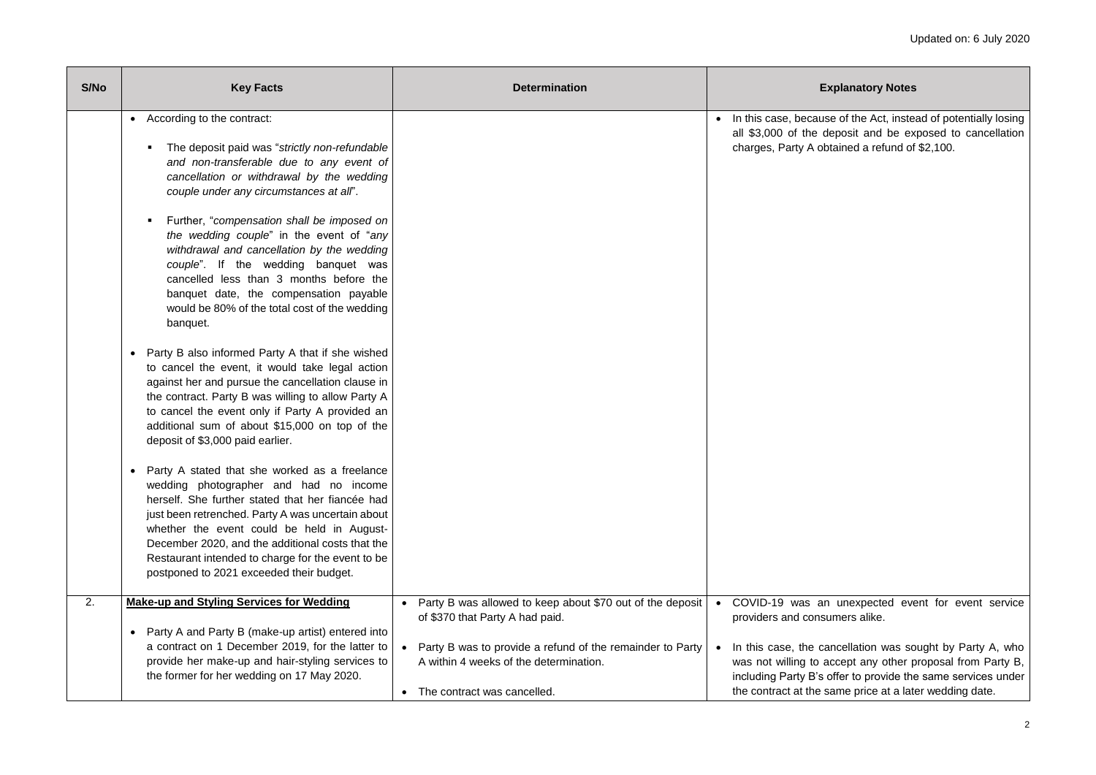ise of the Act, instead of potentially losing deposit and be exposed to cancellation btained a refund of  $$2,100$ .

in unexpected event for event service sumers alike.

ancellation was sought by Party A, who accept any other proposal from Party B, offer to provide the same services under same price at a later wedding date.

| S/No | <b>Key Facts</b>                                                                                                                                                                                                                                                                                                                                                                                                 | <b>Determination</b>                                                                                                                            | E                                                                                                         |
|------|------------------------------------------------------------------------------------------------------------------------------------------------------------------------------------------------------------------------------------------------------------------------------------------------------------------------------------------------------------------------------------------------------------------|-------------------------------------------------------------------------------------------------------------------------------------------------|-----------------------------------------------------------------------------------------------------------|
|      | According to the contract:<br>$\bullet$<br>The deposit paid was "strictly non-refundable"<br>and non-transferable due to any event of<br>cancellation or withdrawal by the wedding<br>couple under any circumstances at all".                                                                                                                                                                                    |                                                                                                                                                 | In this case, becaus<br>$\bullet$<br>all \$3,000 of the c<br>charges, Party A ob                          |
|      | Further, "compensation shall be imposed on<br>п.<br>the wedding couple" in the event of "any<br>withdrawal and cancellation by the wedding<br>couple". If the wedding banquet was<br>cancelled less than 3 months before the<br>banquet date, the compensation payable<br>would be 80% of the total cost of the wedding<br>banquet.                                                                              |                                                                                                                                                 |                                                                                                           |
|      | Party B also informed Party A that if she wished<br>$\bullet$<br>to cancel the event, it would take legal action<br>against her and pursue the cancellation clause in<br>the contract. Party B was willing to allow Party A<br>to cancel the event only if Party A provided an<br>additional sum of about \$15,000 on top of the<br>deposit of \$3,000 paid earlier.                                             |                                                                                                                                                 |                                                                                                           |
|      | Party A stated that she worked as a freelance<br>$\bullet$<br>wedding photographer and had no income<br>herself. She further stated that her fiancée had<br>just been retrenched. Party A was uncertain about<br>whether the event could be held in August-<br>December 2020, and the additional costs that the<br>Restaurant intended to charge for the event to be<br>postponed to 2021 exceeded their budget. |                                                                                                                                                 |                                                                                                           |
| 2.   | <b>Make-up and Styling Services for Wedding</b><br>Party A and Party B (make-up artist) entered into<br>$\bullet$                                                                                                                                                                                                                                                                                                | Party B was allowed to keep about \$70 out of the deposit<br>$\bullet$<br>of \$370 that Party A had paid.                                       | COVID-19 was ar<br>$\bullet$<br>providers and cons                                                        |
|      | a contract on 1 December 2019, for the latter to<br>provide her make-up and hair-styling services to<br>the former for her wedding on 17 May 2020.                                                                                                                                                                                                                                                               | Party B was to provide a refund of the remainder to Party<br>$\bullet$<br>A within 4 weeks of the determination.<br>The contract was cancelled. | In this case, the ca<br>$\bullet$<br>was not willing to a<br>including Party B's<br>the contract at the s |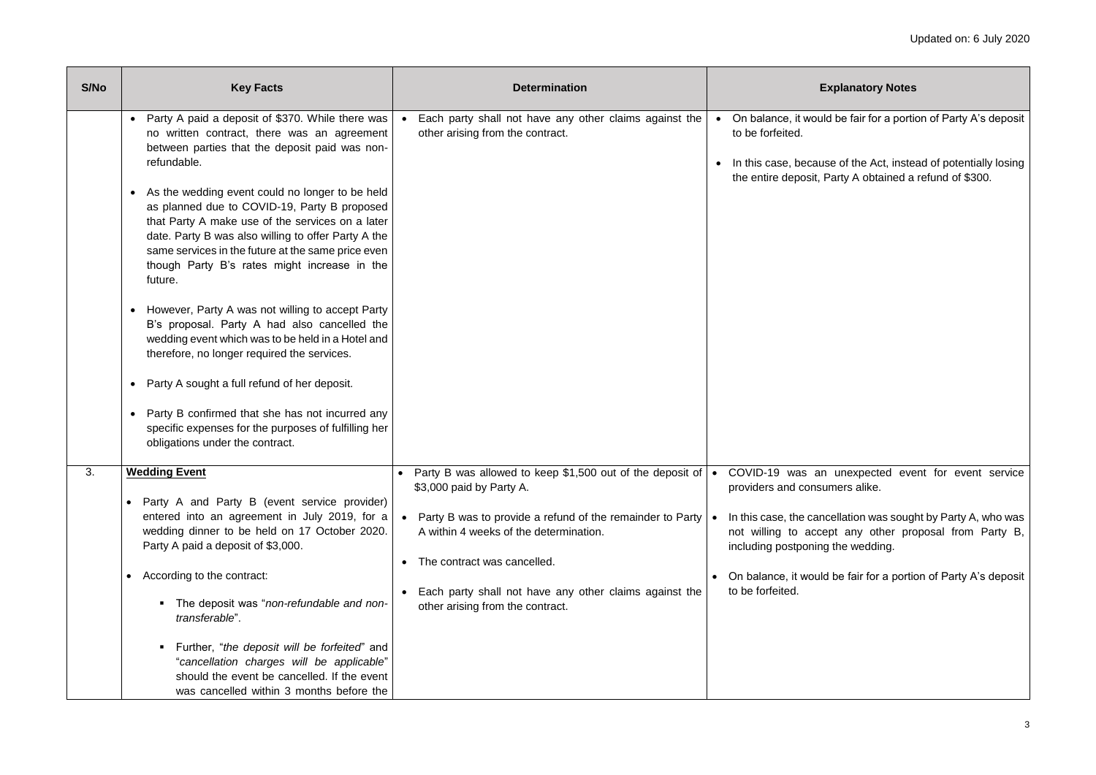Id be fair for a portion of Party A's deposit

ise of the Act, instead of potentially losing Party A obtained a refund of \$300.

unexpected event for event service umers alike.

 $\alpha$ cellation was sought by Party A, who was ept any other proposal from Party B, g the wedding.

I be fair for a portion of Party A's deposit

| S/No | <b>Key Facts</b>                                                                                                                                                                                                                                                                                                                                                                                                                                                                                                                                                                                                                                                                                                                                                                                                                                                                                                                                               | <b>Determination</b>                                                                                                                                                                                                                                                                                                                                                     | E                                                                                                                                        |
|------|----------------------------------------------------------------------------------------------------------------------------------------------------------------------------------------------------------------------------------------------------------------------------------------------------------------------------------------------------------------------------------------------------------------------------------------------------------------------------------------------------------------------------------------------------------------------------------------------------------------------------------------------------------------------------------------------------------------------------------------------------------------------------------------------------------------------------------------------------------------------------------------------------------------------------------------------------------------|--------------------------------------------------------------------------------------------------------------------------------------------------------------------------------------------------------------------------------------------------------------------------------------------------------------------------------------------------------------------------|------------------------------------------------------------------------------------------------------------------------------------------|
|      | Party A paid a deposit of \$370. While there was<br>$\bullet$<br>no written contract, there was an agreement<br>between parties that the deposit paid was non-<br>refundable.<br>As the wedding event could no longer to be held<br>٠<br>as planned due to COVID-19, Party B proposed<br>that Party A make use of the services on a later<br>date. Party B was also willing to offer Party A the<br>same services in the future at the same price even<br>though Party B's rates might increase in the<br>future.<br>However, Party A was not willing to accept Party<br>$\bullet$<br>B's proposal. Party A had also cancelled the<br>wedding event which was to be held in a Hotel and<br>therefore, no longer required the services.<br>Party A sought a full refund of her deposit.<br>$\bullet$<br>Party B confirmed that she has not incurred any<br>$\bullet$<br>specific expenses for the purposes of fulfilling her<br>obligations under the contract. | Each party shall not have any other claims against the<br>other arising from the contract.                                                                                                                                                                                                                                                                               | On balance, it would<br>$\bullet$<br>to be forfeited.<br>In this case, becaus<br>the entire deposit, F                                   |
| 3.   | <b>Wedding Event</b><br>Party A and Party B (event service provider)<br>$\bullet$<br>entered into an agreement in July 2019, for a<br>wedding dinner to be held on 17 October 2020.<br>Party A paid a deposit of \$3,000.<br>According to the contract:<br>$\bullet$<br>The deposit was "non-refundable and non-<br>$\blacksquare$<br>transferable".<br>Further, "the deposit will be forfeited" and<br>$\blacksquare$<br>"cancellation charges will be applicable"<br>should the event be cancelled. If the event<br>was cancelled within 3 months before the                                                                                                                                                                                                                                                                                                                                                                                                 | Party B was allowed to keep \$1,500 out of the deposit of $\bullet$ COVID-19 was an<br>$\bullet$<br>\$3,000 paid by Party A.<br>Party B was to provide a refund of the remainder to Party $\cdot$<br>A within 4 weeks of the determination.<br>The contract was cancelled.<br>Each party shall not have any other claims against the<br>other arising from the contract. | providers and consu<br>In this case, the cand<br>not willing to acce<br>including postponing<br>On balance, it would<br>to be forfeited. |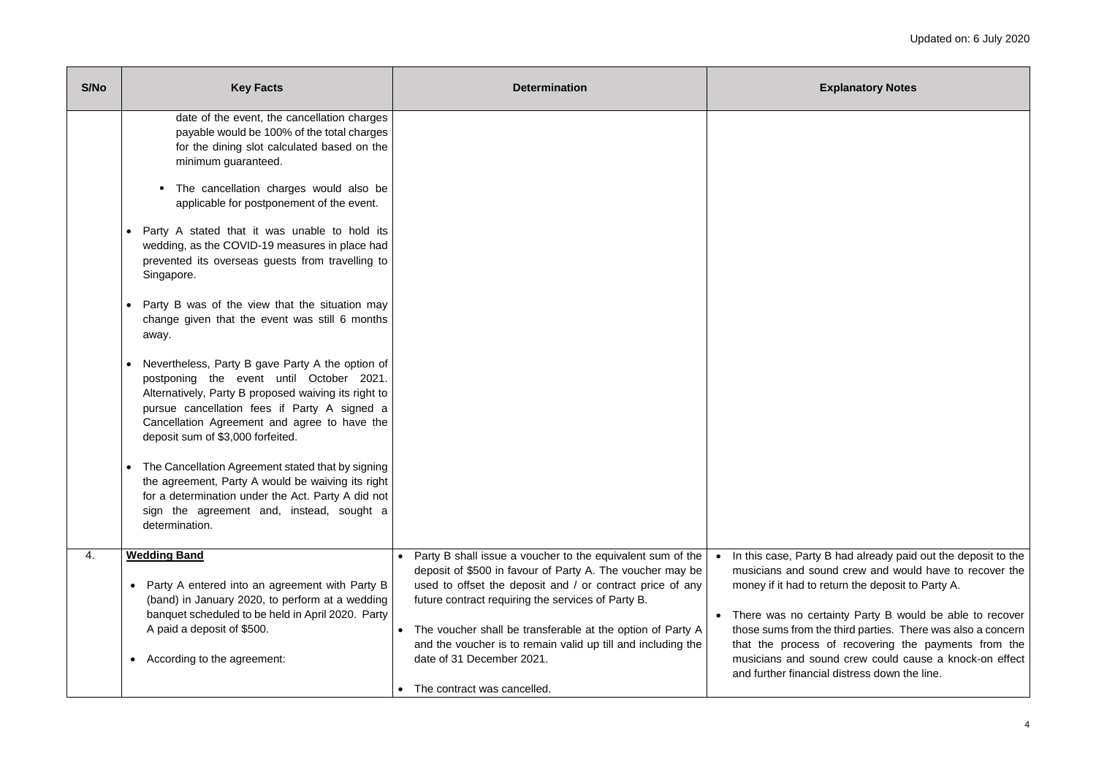$\sqrt{B}$  had already paid out the deposit to the und crew and would have to recover the return the deposit to Party A.

rtainty Party B would be able to recover he third parties. There was also a concern of recovering the payments from the vund crew could cause a knock-on effect ial distress down the line.

| S/No | <b>Key Facts</b>                                                                                                                                                                                                                                                                                                                                                                                                                                                                                                                                                                                                                                                                                                                                                                                                                                                                                                                                                                                                                                                                                                         | <b>Determination</b>                                                                                                                                                                                                                                                                                                                                                                                                                 |                                                                                                                                                                                           |
|------|--------------------------------------------------------------------------------------------------------------------------------------------------------------------------------------------------------------------------------------------------------------------------------------------------------------------------------------------------------------------------------------------------------------------------------------------------------------------------------------------------------------------------------------------------------------------------------------------------------------------------------------------------------------------------------------------------------------------------------------------------------------------------------------------------------------------------------------------------------------------------------------------------------------------------------------------------------------------------------------------------------------------------------------------------------------------------------------------------------------------------|--------------------------------------------------------------------------------------------------------------------------------------------------------------------------------------------------------------------------------------------------------------------------------------------------------------------------------------------------------------------------------------------------------------------------------------|-------------------------------------------------------------------------------------------------------------------------------------------------------------------------------------------|
|      | date of the event, the cancellation charges<br>payable would be 100% of the total charges<br>for the dining slot calculated based on the<br>minimum guaranteed.<br>The cancellation charges would also be<br>$\blacksquare$<br>applicable for postponement of the event.<br>Party A stated that it was unable to hold its<br>$\bullet$<br>wedding, as the COVID-19 measures in place had<br>prevented its overseas guests from travelling to<br>Singapore.<br>Party B was of the view that the situation may<br>$\bullet$<br>change given that the event was still 6 months<br>away.<br>Nevertheless, Party B gave Party A the option of<br>$\bullet$<br>postponing the event until October 2021.<br>Alternatively, Party B proposed waiving its right to<br>pursue cancellation fees if Party A signed a<br>Cancellation Agreement and agree to have the<br>deposit sum of \$3,000 forfeited.<br>The Cancellation Agreement stated that by signing<br>$\bullet$<br>the agreement, Party A would be waiving its right<br>for a determination under the Act. Party A did not<br>sign the agreement and, instead, sought a |                                                                                                                                                                                                                                                                                                                                                                                                                                      |                                                                                                                                                                                           |
| 4.   | determination.<br><b>Wedding Band</b><br>Party A entered into an agreement with Party B<br>$\bullet$<br>(band) in January 2020, to perform at a wedding<br>banquet scheduled to be held in April 2020. Party<br>A paid a deposit of \$500.<br>According to the agreement:                                                                                                                                                                                                                                                                                                                                                                                                                                                                                                                                                                                                                                                                                                                                                                                                                                                | Party B shall issue a voucher to the equivalent sum of the<br>deposit of \$500 in favour of Party A. The voucher may be<br>used to offset the deposit and / or contract price of any<br>future contract requiring the services of Party B.<br>The voucher shall be transferable at the option of Party A<br>and the voucher is to remain valid up till and including the<br>date of 31 December 2021.<br>The contract was cancelled. | In this case, Party<br>musicians and sou<br>money if it had to re<br>There was no cer<br>$\bullet$<br>those sums from th<br>that the process<br>musicians and sou<br>and further financia |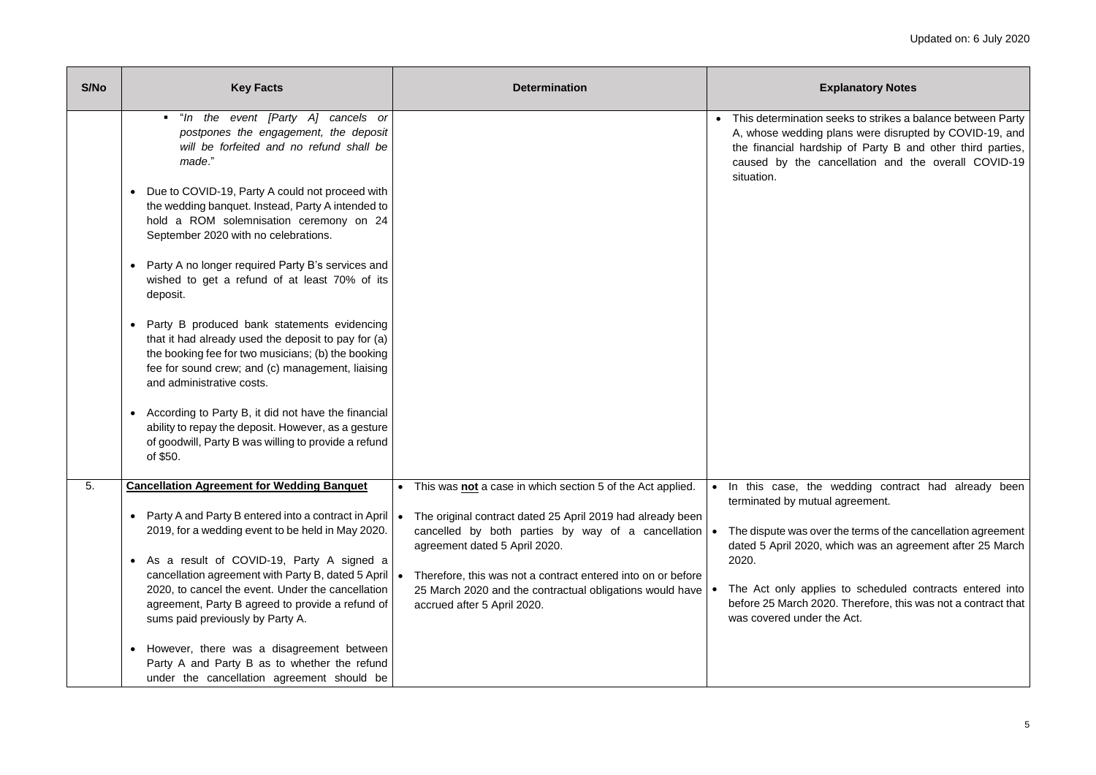seeks to strikes a balance between Party plans were disrupted by COVID-19, and ship of Party B and other third parties, ancellation and the overall COVID-19

wedding contract had already been al agreement.

er the terms of the cancellation agreement which was an agreement after 25 March

ies to scheduled contracts entered into 20. Therefore, this was not a contract that the Act.

| S/No | <b>Key Facts</b>                                                                                                                                                                                                                                                                                                                                                                                                                                                                                                                                                                                                                                                                                                                                                                                                                                                                                                          | <b>Determination</b>                                                                                                                                                                                                                                                                                                                                                         | Е                                                                                                                                                                    |
|------|---------------------------------------------------------------------------------------------------------------------------------------------------------------------------------------------------------------------------------------------------------------------------------------------------------------------------------------------------------------------------------------------------------------------------------------------------------------------------------------------------------------------------------------------------------------------------------------------------------------------------------------------------------------------------------------------------------------------------------------------------------------------------------------------------------------------------------------------------------------------------------------------------------------------------|------------------------------------------------------------------------------------------------------------------------------------------------------------------------------------------------------------------------------------------------------------------------------------------------------------------------------------------------------------------------------|----------------------------------------------------------------------------------------------------------------------------------------------------------------------|
|      | "In the event [Party A] cancels or<br>postpones the engagement, the deposit<br>will be forfeited and no refund shall be<br>made."<br>Due to COVID-19, Party A could not proceed with<br>$\bullet$<br>the wedding banquet. Instead, Party A intended to<br>hold a ROM solemnisation ceremony on 24<br>September 2020 with no celebrations.<br>Party A no longer required Party B's services and<br>$\bullet$<br>wished to get a refund of at least 70% of its<br>deposit.<br>Party B produced bank statements evidencing<br>$\bullet$<br>that it had already used the deposit to pay for (a)<br>the booking fee for two musicians; (b) the booking<br>fee for sound crew; and (c) management, liaising<br>and administrative costs.<br>According to Party B, it did not have the financial<br>٠<br>ability to repay the deposit. However, as a gesture<br>of goodwill, Party B was willing to provide a refund<br>of \$50. |                                                                                                                                                                                                                                                                                                                                                                              | This determination<br>$\bullet$<br>A, whose wedding<br>the financial hards<br>caused by the ca<br>situation.                                                         |
| 5.   | <b>Cancellation Agreement for Wedding Banquet</b><br>Party A and Party B entered into a contract in April<br>$\bullet$<br>2019, for a wedding event to be held in May 2020.<br>As a result of COVID-19, Party A signed a<br>$\bullet$<br>cancellation agreement with Party B, dated 5 April<br>2020, to cancel the event. Under the cancellation<br>agreement, Party B agreed to provide a refund of<br>sums paid previously by Party A.<br>However, there was a disagreement between<br>$\bullet$<br>Party A and Party B as to whether the refund<br>under the cancellation agreement should be                                                                                                                                                                                                                                                                                                                          | • This was not a case in which section 5 of the Act applied.<br>The original contract dated 25 April 2019 had already been<br>cancelled by both parties by way of a cancellation<br>agreement dated 5 April 2020.<br>Therefore, this was not a contract entered into on or before<br>25 March 2020 and the contractual obligations would have<br>accrued after 5 April 2020. | In this case, the<br>terminated by mutua<br>The dispute was ove<br>dated 5 April 2020,<br>2020.<br>The Act only applie<br>before 25 March 202<br>was covered under t |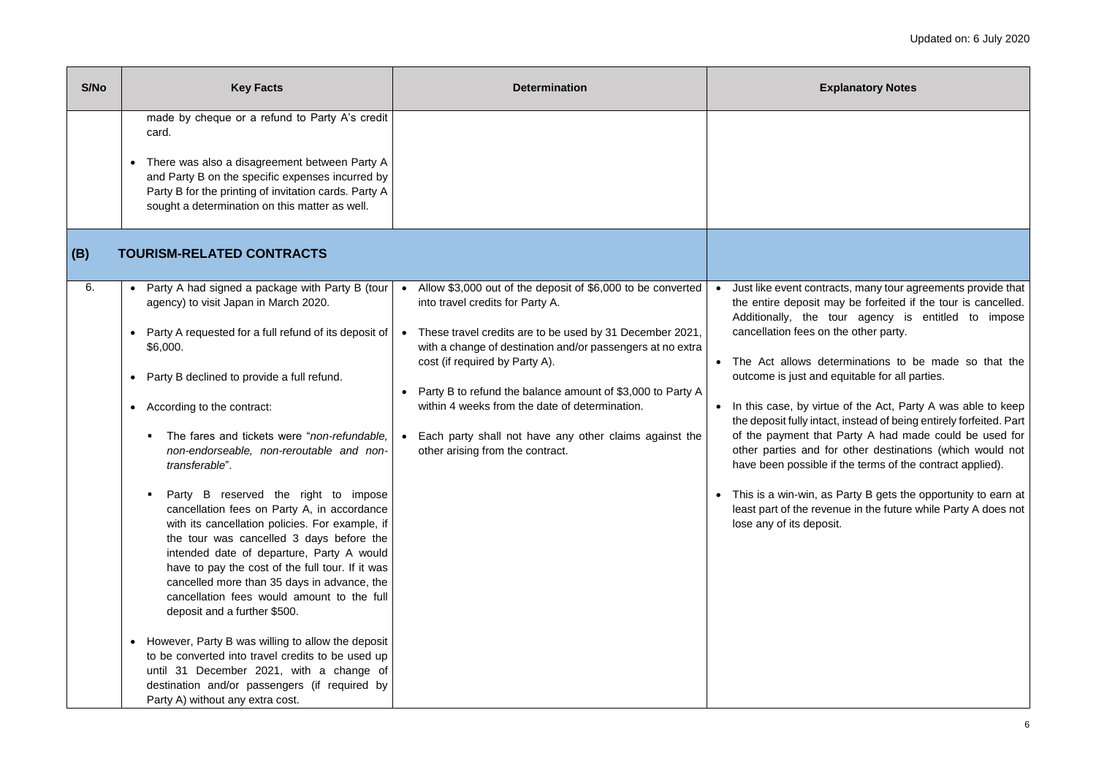racts, many tour agreements provide that may be forfeited if the tour is cancelled. tour agency is entitled to impose ithe other party.

eterminations to be made so that the I equitable for all parties.

tue of the Act, Party A was able to keep act, instead of being entirely forfeited. Part at Party A had made could be used for for other destinations (which would not if the terms of the contract applied).

as Party B gets the opportunity to earn at venue in the future while Party A does not psit.

| S/No      | <b>Key Facts</b>                                                                                                                                                                                                                                                                                                                                                                                                                                                                                                                                                                                                                                                                                                                                                                                                                                                                                                                                                                                                                              | <b>Determination</b>                                                                                                                                                                                                                                                                                                                                                                                                                                                                                | E                                                                                                                                                                                                                                                                                                                                                    |
|-----------|-----------------------------------------------------------------------------------------------------------------------------------------------------------------------------------------------------------------------------------------------------------------------------------------------------------------------------------------------------------------------------------------------------------------------------------------------------------------------------------------------------------------------------------------------------------------------------------------------------------------------------------------------------------------------------------------------------------------------------------------------------------------------------------------------------------------------------------------------------------------------------------------------------------------------------------------------------------------------------------------------------------------------------------------------|-----------------------------------------------------------------------------------------------------------------------------------------------------------------------------------------------------------------------------------------------------------------------------------------------------------------------------------------------------------------------------------------------------------------------------------------------------------------------------------------------------|------------------------------------------------------------------------------------------------------------------------------------------------------------------------------------------------------------------------------------------------------------------------------------------------------------------------------------------------------|
| (B)<br>6. | made by cheque or a refund to Party A's credit<br>card.<br>There was also a disagreement between Party A<br>and Party B on the specific expenses incurred by<br>Party B for the printing of invitation cards. Party A<br>sought a determination on this matter as well.<br><b>TOURISM-RELATED CONTRACTS</b>                                                                                                                                                                                                                                                                                                                                                                                                                                                                                                                                                                                                                                                                                                                                   |                                                                                                                                                                                                                                                                                                                                                                                                                                                                                                     | Just like event contr                                                                                                                                                                                                                                                                                                                                |
|           | Party A had signed a package with Party B (tour<br>$\bullet$<br>agency) to visit Japan in March 2020.<br>Party A requested for a full refund of its deposit of<br>\$6,000.<br>Party B declined to provide a full refund.<br>According to the contract:<br>The fares and tickets were "non-refundable,<br>п.<br>non-endorseable, non-reroutable and non-<br>transferable".<br>Party B reserved the right to impose<br>п<br>cancellation fees on Party A, in accordance<br>with its cancellation policies. For example, if<br>the tour was cancelled 3 days before the<br>intended date of departure, Party A would<br>have to pay the cost of the full tour. If it was<br>cancelled more than 35 days in advance, the<br>cancellation fees would amount to the full<br>deposit and a further \$500.<br>However, Party B was willing to allow the deposit<br>to be converted into travel credits to be used up<br>until 31 December 2021, with a change of<br>destination and/or passengers (if required by<br>Party A) without any extra cost. | Allow \$3,000 out of the deposit of \$6,000 to be converted<br>$\bullet$<br>into travel credits for Party A.<br>These travel credits are to be used by 31 December 2021,<br>$\bullet$<br>with a change of destination and/or passengers at no extra<br>cost (if required by Party A).<br>Party B to refund the balance amount of \$3,000 to Party A<br>within 4 weeks from the date of determination.<br>Each party shall not have any other claims against the<br>other arising from the contract. | $\bullet$<br>the entire deposit n<br>Additionally, the<br>cancellation fees or<br>The Act allows de<br>outcome is just and<br>In this case, by virt<br>$\bullet$<br>the deposit fully inta<br>of the payment tha<br>other parties and f<br>have been possible<br>This is a win-win, a<br>$\bullet$<br>least part of the reve<br>lose any of its depo |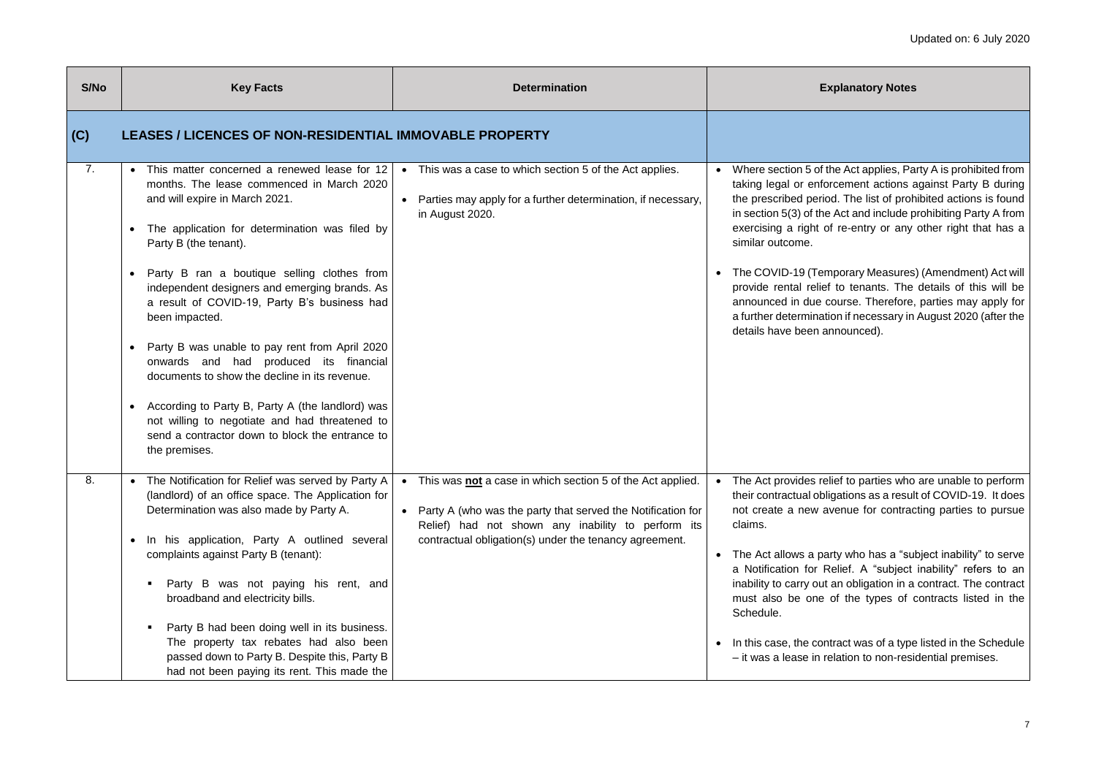the Act applies, Party A is prohibited from orcement actions against Party B during iod. The list of prohibited actions is found ie Act and include prohibiting Party A from of re-entry or any other right that has a

mporary Measures) (Amendment) Act will ef to tenants. The details of this will be course. Therefore, parties may apply for ation if necessary in August 2020 (after the announced).

elief to parties who are unable to perform bligations as a result of COVID-19. It does avenue for contracting parties to pursue

arty who has a "subject inability" to serve Relief. A "subject inability" refers to an it an obligation in a contract. The contract of the types of contracts listed in the

ntract was of a type listed in the Schedule relation to non-residential premises.

| S/No | <b>Key Facts</b>                                                                                                                                                                                                                                                                                                                                                                                                                                                                                                                                                                                                                                                                                                                                    | <b>Determination</b>                                                                                                                                                                                                                                   | E                                                                                                                                                                                                                                                                       |
|------|-----------------------------------------------------------------------------------------------------------------------------------------------------------------------------------------------------------------------------------------------------------------------------------------------------------------------------------------------------------------------------------------------------------------------------------------------------------------------------------------------------------------------------------------------------------------------------------------------------------------------------------------------------------------------------------------------------------------------------------------------------|--------------------------------------------------------------------------------------------------------------------------------------------------------------------------------------------------------------------------------------------------------|-------------------------------------------------------------------------------------------------------------------------------------------------------------------------------------------------------------------------------------------------------------------------|
| (C)  | <b>LEASES / LICENCES OF NON-RESIDENTIAL IMMOVABLE PROPERTY</b>                                                                                                                                                                                                                                                                                                                                                                                                                                                                                                                                                                                                                                                                                      |                                                                                                                                                                                                                                                        |                                                                                                                                                                                                                                                                         |
| 7.   | This matter concerned a renewed lease for 12<br>$\bullet$<br>months. The lease commenced in March 2020<br>and will expire in March 2021.<br>The application for determination was filed by<br>Party B (the tenant).<br>Party B ran a boutique selling clothes from<br>$\bullet$<br>independent designers and emerging brands. As<br>a result of COVID-19, Party B's business had<br>been impacted.<br>Party B was unable to pay rent from April 2020<br>$\bullet$<br>onwards and had produced its financial<br>documents to show the decline in its revenue.<br>According to Party B, Party A (the landlord) was<br>$\bullet$<br>not willing to negotiate and had threatened to<br>send a contractor down to block the entrance to<br>the premises. | This was a case to which section 5 of the Act applies.<br>Parties may apply for a further determination, if necessary,<br>$\bullet$<br>in August 2020.                                                                                                 | Where section 5 of<br>taking legal or enfo<br>the prescribed perio<br>in section $5(3)$ of the<br>exercising a right o<br>similar outcome.<br>The COVID-19 (Ter<br>$\bullet$<br>provide rental relie<br>announced in due<br>a further determinat<br>details have been a |
| 8.   | The Notification for Relief was served by Party A<br>$\bullet$<br>(landlord) of an office space. The Application for<br>Determination was also made by Party A.<br>In his application, Party A outlined several<br>$\bullet$<br>complaints against Party B (tenant):<br>Party B was not paying his rent, and<br>broadband and electricity bills.<br>Party B had been doing well in its business.<br>The property tax rebates had also been<br>passed down to Party B. Despite this, Party B<br>had not been paying its rent. This made the                                                                                                                                                                                                          | This was not a case in which section 5 of the Act applied.<br>$\bullet$<br>Party A (who was the party that served the Notification for<br>Relief) had not shown any inability to perform its<br>contractual obligation(s) under the tenancy agreement. | The Act provides re<br>$\bullet$<br>their contractual ob<br>not create a new a<br>claims.<br>The Act allows a pa<br>a Notification for F<br>inability to carry out<br>must also be one<br>Schedule.<br>In this case, the cor<br>- it was a lease in r                   |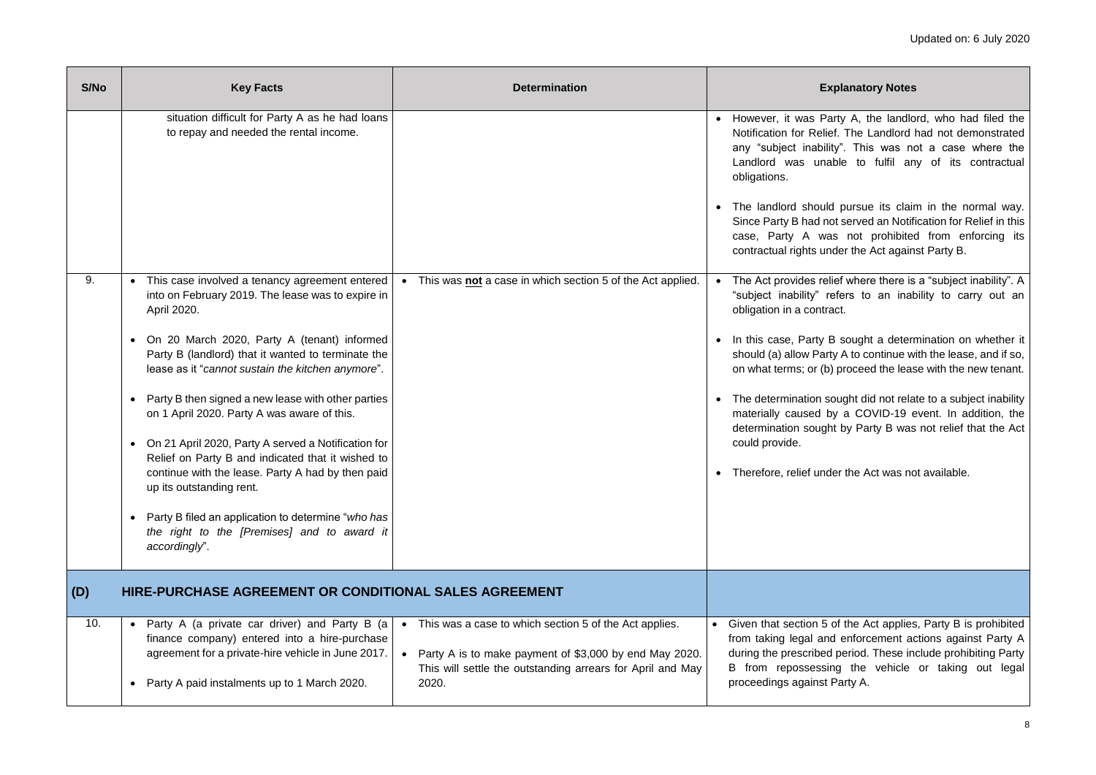Party A, the landlord, who had filed the lief. The Landlord had not demonstrated ility". This was not a case where the hable to fulfil any of its contractual

Id pursue its claim in the normal way. not served an Notification for Relief in this vas not prohibited from enforcing its ander the Act against Party B.

elief where there is a "subject inability". A refers to an inability to carry out an ract.

B sought a determination on whether it irty A to continue with the lease, and if so, (b) proceed the lease with the new tenant.

sought did not relate to a subject inability by a COVID-19 event. In addition, the ght by Party B was not relief that the Act

der the Act was not available.

of the Act applies, Party B is prohibited nd enforcement actions against Party A ed period. These include prohibiting Party sing the vehicle or taking out legal Party A.

| S/No | <b>Key Facts</b>                                                                                                                                                                                                                                                                                                                                                                                                                                                                                                                                                                                                                                                                                                                            | <b>Determination</b>                                                                                                                                                                                 | E                                                                                                                                                                                                                                                                   |
|------|---------------------------------------------------------------------------------------------------------------------------------------------------------------------------------------------------------------------------------------------------------------------------------------------------------------------------------------------------------------------------------------------------------------------------------------------------------------------------------------------------------------------------------------------------------------------------------------------------------------------------------------------------------------------------------------------------------------------------------------------|------------------------------------------------------------------------------------------------------------------------------------------------------------------------------------------------------|---------------------------------------------------------------------------------------------------------------------------------------------------------------------------------------------------------------------------------------------------------------------|
|      | situation difficult for Party A as he had loans<br>to repay and needed the rental income.                                                                                                                                                                                                                                                                                                                                                                                                                                                                                                                                                                                                                                                   |                                                                                                                                                                                                      | • However, it was P<br>Notification for Reli<br>any "subject inabi<br>Landlord was un<br>obligations.<br>The landlord shou<br>Since Party B had r<br>case, Party A w<br>contractual rights u                                                                        |
| 9.   | This case involved a tenancy agreement entered<br>into on February 2019. The lease was to expire in<br>April 2020.<br>On 20 March 2020, Party A (tenant) informed<br>$\bullet$<br>Party B (landlord) that it wanted to terminate the<br>lease as it "cannot sustain the kitchen anymore".<br>Party B then signed a new lease with other parties<br>$\bullet$<br>on 1 April 2020. Party A was aware of this.<br>On 21 April 2020, Party A served a Notification for<br>Relief on Party B and indicated that it wished to<br>continue with the lease. Party A had by then paid<br>up its outstanding rent.<br>Party B filed an application to determine "who has<br>$\bullet$<br>the right to the [Premises] and to award it<br>accordingly". | This was <b>not</b> a case in which section 5 of the Act applied.                                                                                                                                    | The Act provides re<br>"subject inability"<br>obligation in a conti<br>In this case, Party<br>$\bullet$<br>should (a) allow Pa<br>on what terms; or (b)<br>The determination s<br>materially caused<br>determination soug<br>could provide.<br>Therefore, relief un |
| (D)  | HIRE-PURCHASE AGREEMENT OR CONDITIONAL SALES AGREEMENT                                                                                                                                                                                                                                                                                                                                                                                                                                                                                                                                                                                                                                                                                      |                                                                                                                                                                                                      |                                                                                                                                                                                                                                                                     |
| 10.  | Party A (a private car driver) and Party B (a<br>$\bullet$<br>finance company) entered into a hire-purchase<br>agreement for a private-hire vehicle in June 2017.<br>Party A paid instalments up to 1 March 2020.<br>$\bullet$                                                                                                                                                                                                                                                                                                                                                                                                                                                                                                              | This was a case to which section 5 of the Act applies.<br>$\bullet$<br>Party A is to make payment of \$3,000 by end May 2020.<br>This will settle the outstanding arrears for April and May<br>2020. | Given that section 5<br>$\bullet$<br>from taking legal ar<br>during the prescribe<br>B from repossess<br>proceedings against                                                                                                                                        |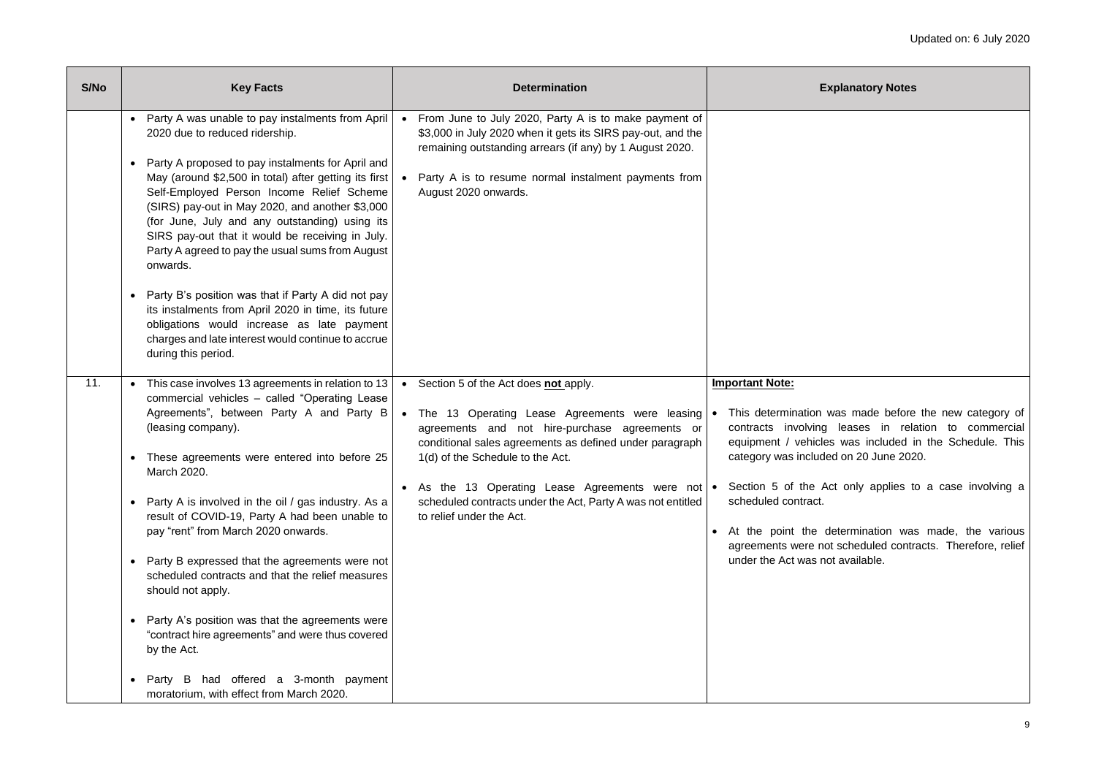was made before the new category of g leases in relation to commercial les was included in the Schedule. This ded on 20 June 2020.

Act only applies to a case involving a

determination was made, the various not scheduled contracts. Therefore, relief not available.

| S/No | <b>Key Facts</b>                                                                                                                                                                                                                                                                                                                                                                                                                                                                                                                                                                                                                                                                                                                                                                                         | <b>Determination</b>                                                                                                                                                                                                                                                                                                                                                                                              | E                                                                                                                                                                                                                                            |
|------|----------------------------------------------------------------------------------------------------------------------------------------------------------------------------------------------------------------------------------------------------------------------------------------------------------------------------------------------------------------------------------------------------------------------------------------------------------------------------------------------------------------------------------------------------------------------------------------------------------------------------------------------------------------------------------------------------------------------------------------------------------------------------------------------------------|-------------------------------------------------------------------------------------------------------------------------------------------------------------------------------------------------------------------------------------------------------------------------------------------------------------------------------------------------------------------------------------------------------------------|----------------------------------------------------------------------------------------------------------------------------------------------------------------------------------------------------------------------------------------------|
|      | Party A was unable to pay instalments from April<br>$\bullet$<br>2020 due to reduced ridership.<br>Party A proposed to pay instalments for April and<br>$\bullet$<br>May (around \$2,500 in total) after getting its first<br>Self-Employed Person Income Relief Scheme<br>(SIRS) pay-out in May 2020, and another \$3,000<br>(for June, July and any outstanding) using its<br>SIRS pay-out that it would be receiving in July.<br>Party A agreed to pay the usual sums from August<br>onwards.<br>Party B's position was that if Party A did not pay<br>$\bullet$<br>its instalments from April 2020 in time, its future<br>obligations would increase as late payment<br>charges and late interest would continue to accrue<br>during this period.                                                    | From June to July 2020, Party A is to make payment of<br>\$3,000 in July 2020 when it gets its SIRS pay-out, and the<br>remaining outstanding arrears (if any) by 1 August 2020.<br>Party A is to resume normal instalment payments from<br>$\bullet$<br>August 2020 onwards.                                                                                                                                     |                                                                                                                                                                                                                                              |
| 11.  | This case involves 13 agreements in relation to 13<br>$\bullet$<br>commercial vehicles - called "Operating Lease<br>Agreements", between Party A and Party B<br>(leasing company).<br>These agreements were entered into before 25<br>$\bullet$<br>March 2020.<br>Party A is involved in the oil / gas industry. As a<br>$\bullet$<br>result of COVID-19, Party A had been unable to<br>pay "rent" from March 2020 onwards.<br>Party B expressed that the agreements were not<br>$\bullet$<br>scheduled contracts and that the relief measures<br>should not apply.<br>Party A's position was that the agreements were<br>$\bullet$<br>"contract hire agreements" and were thus covered<br>by the Act.<br>Party B had offered a 3-month payment<br>$\bullet$<br>moratorium, with effect from March 2020. | Section 5 of the Act does not apply.<br>$\bullet$<br>The 13 Operating Lease Agreements were leasing   •<br>$\bullet$<br>agreements and not hire-purchase agreements or<br>conditional sales agreements as defined under paragraph<br>1(d) of the Schedule to the Act.<br>As the 13 Operating Lease Agreements were not<br>scheduled contracts under the Act, Party A was not entitled<br>to relief under the Act. | <b>Important Note:</b><br>This determination<br>contracts involving<br>equipment / vehicle<br>category was includ<br>Section 5 of the A<br>scheduled contract.<br>At the point the<br>$\bullet$<br>agreements were no<br>under the Act was n |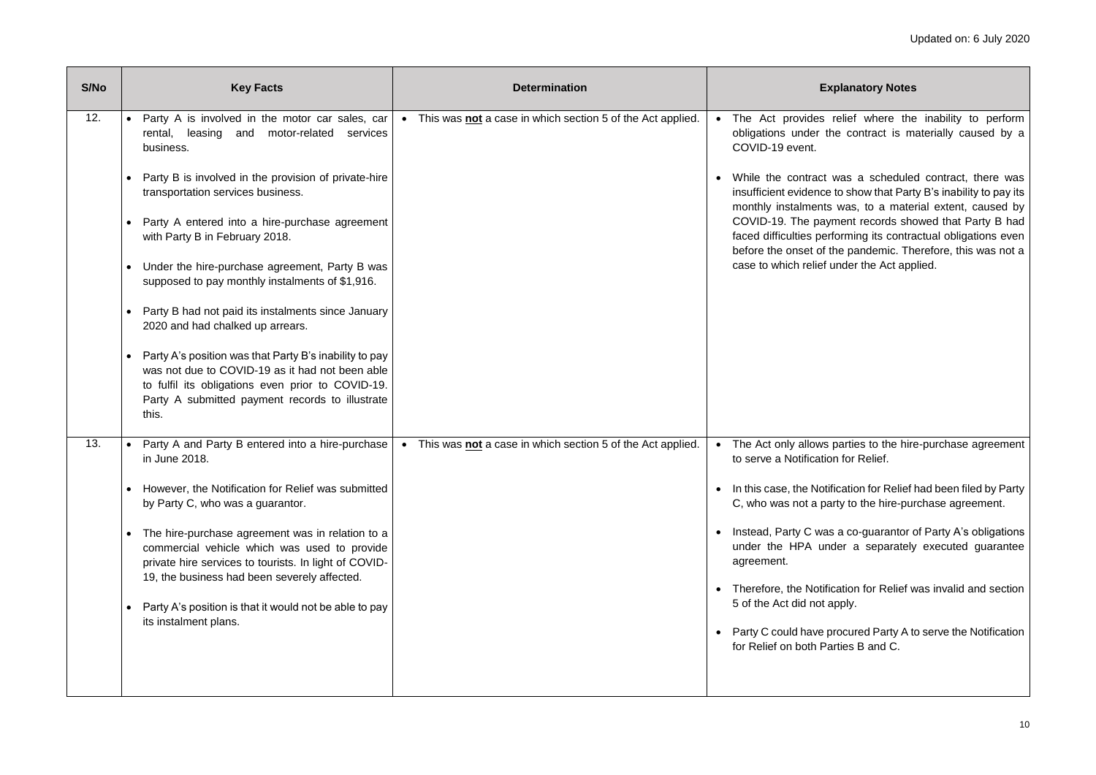relief where the inability to perform the contract is materially caused by a

was a scheduled contract, there was te to show that Party B's inability to pay its ts was, to a material extent, caused by ayment records showed that Party B had erforming its contractual obligations even f the pandemic. Therefore, this was not a under the Act applied.

parties to the hire-purchase agreement ion for Relief.

tification for Relief had been filed by Party barty to the hire-purchase agreement.

as a co-guarantor of Party A's obligations inder a separately executed guarantee

ification for Relief was invalid and section t apply.

procured Party A to serve the Notification Parties B and C.

| S/No | <b>Key Facts</b>                                                                                                                                                                                                                                                                                                                                                                                                                                                                                                                                                                                                                                                                                                                      | <b>Determination</b>                                                           | E                                                                                                                                                                                                                                                                 |
|------|---------------------------------------------------------------------------------------------------------------------------------------------------------------------------------------------------------------------------------------------------------------------------------------------------------------------------------------------------------------------------------------------------------------------------------------------------------------------------------------------------------------------------------------------------------------------------------------------------------------------------------------------------------------------------------------------------------------------------------------|--------------------------------------------------------------------------------|-------------------------------------------------------------------------------------------------------------------------------------------------------------------------------------------------------------------------------------------------------------------|
| 12.  | Party A is involved in the motor car sales, car<br>$\bullet$<br>rental, leasing<br>motor-related<br>and<br>services<br>business.<br>Party B is involved in the provision of private-hire<br>transportation services business.<br>Party A entered into a hire-purchase agreement<br>with Party B in February 2018.<br>Under the hire-purchase agreement, Party B was<br>supposed to pay monthly instalments of \$1,916.<br>Party B had not paid its instalments since January<br>2020 and had chalked up arrears.<br>Party A's position was that Party B's inability to pay<br>was not due to COVID-19 as it had not been able<br>to fulfil its obligations even prior to COVID-19.<br>Party A submitted payment records to illustrate | This was not a case in which section 5 of the Act applied.<br>$\bullet$        | • The Act provides<br>obligations under t<br>COVID-19 event.<br>While the contract<br>insufficient evidence<br>monthly instalment<br>COVID-19. The pay<br>faced difficulties pe<br>before the onset of<br>case to which relief                                    |
| 13.  | this.<br>Party A and Party B entered into a hire-purchase<br>$\bullet$<br>in June 2018.<br>However, the Notification for Relief was submitted<br>$\bullet$<br>by Party C, who was a guarantor.<br>The hire-purchase agreement was in relation to a<br>commercial vehicle which was used to provide<br>private hire services to tourists. In light of COVID-<br>19, the business had been severely affected.<br>Party A's position is that it would not be able to pay<br>$\bullet$<br>its instalment plans.                                                                                                                                                                                                                           | This was <b>not</b> a case in which section 5 of the Act applied.<br>$\bullet$ | The Act only allows<br>$\bullet$<br>to serve a Notification<br>In this case, the Not<br>C, who was not a p<br>Instead, Party C wa<br>under the HPA ur<br>agreement.<br>Therefore, the Notif<br>5 of the Act did not<br>Party C could have<br>for Relief on both P |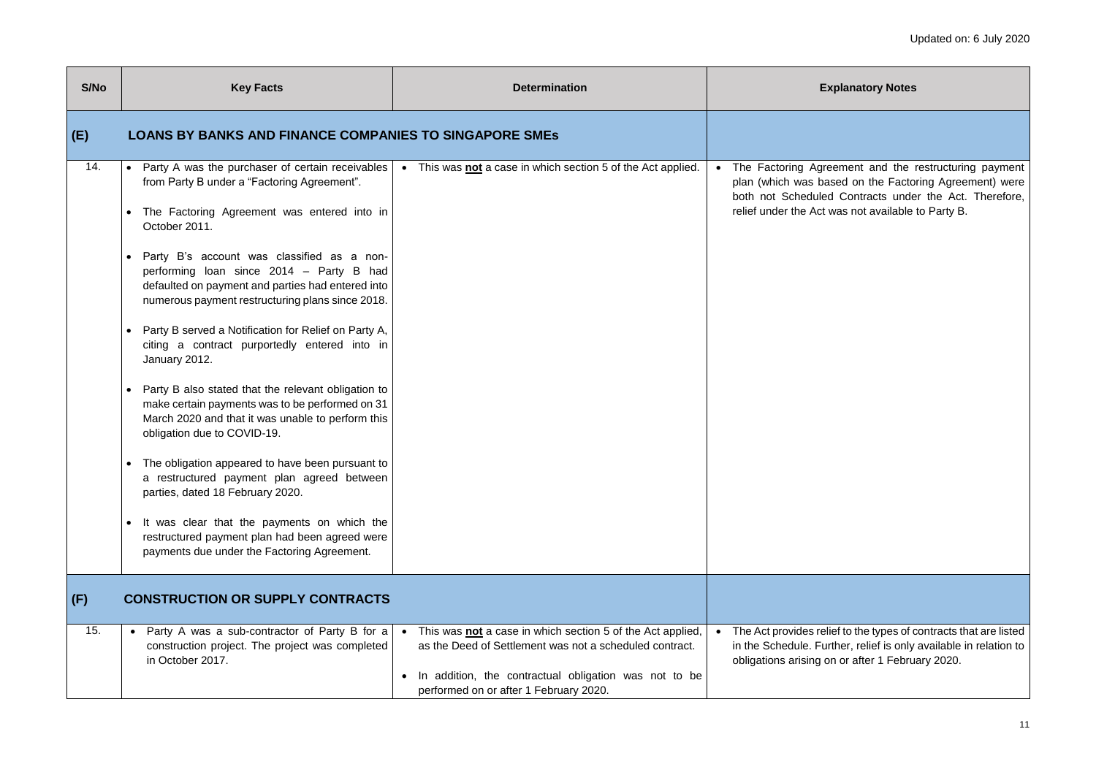eement and the restructuring payment ased on the Factoring Agreement) were ed Contracts under the Act. Therefore, was not available to Party B.

lief to the types of contracts that are listed in ther, relief is only available in relation to on or after 1 February 2020.

| S/No | <b>Key Facts</b>                                                                                                                                                                                                                                                                                                                                                                                                                                                                                                                                                                                                                                                                                                                                                                                                                                                                                                                                                                   | <b>Determination</b>                                                                                                                                                                                                            | E                                                                                       |
|------|------------------------------------------------------------------------------------------------------------------------------------------------------------------------------------------------------------------------------------------------------------------------------------------------------------------------------------------------------------------------------------------------------------------------------------------------------------------------------------------------------------------------------------------------------------------------------------------------------------------------------------------------------------------------------------------------------------------------------------------------------------------------------------------------------------------------------------------------------------------------------------------------------------------------------------------------------------------------------------|---------------------------------------------------------------------------------------------------------------------------------------------------------------------------------------------------------------------------------|-----------------------------------------------------------------------------------------|
| (E)  | <b>LOANS BY BANKS AND FINANCE COMPANIES TO SINGAPORE SMES</b>                                                                                                                                                                                                                                                                                                                                                                                                                                                                                                                                                                                                                                                                                                                                                                                                                                                                                                                      |                                                                                                                                                                                                                                 |                                                                                         |
| 14.  | • Party A was the purchaser of certain receivables<br>from Party B under a "Factoring Agreement".<br>The Factoring Agreement was entered into in<br>October 2011.<br>Party B's account was classified as a non-<br>performing loan since 2014 - Party B had<br>defaulted on payment and parties had entered into<br>numerous payment restructuring plans since 2018.<br>Party B served a Notification for Relief on Party A,<br>citing a contract purportedly entered into in<br>January 2012.<br>Party B also stated that the relevant obligation to<br>make certain payments was to be performed on 31<br>March 2020 and that it was unable to perform this<br>obligation due to COVID-19.<br>The obligation appeared to have been pursuant to<br>a restructured payment plan agreed between<br>parties, dated 18 February 2020.<br>It was clear that the payments on which the<br>restructured payment plan had been agreed were<br>payments due under the Factoring Agreement. | This was not a case in which section 5 of the Act applied.<br>$\bullet$                                                                                                                                                         | • The Factoring Agre<br>plan (which was ba<br>both not Schedule<br>relief under the Act |
| (F)  | <b>CONSTRUCTION OR SUPPLY CONTRACTS</b>                                                                                                                                                                                                                                                                                                                                                                                                                                                                                                                                                                                                                                                                                                                                                                                                                                                                                                                                            |                                                                                                                                                                                                                                 |                                                                                         |
| 15.  | Party A was a sub-contractor of Party B for a<br>$\bullet$<br>construction project. The project was completed<br>in October 2017.                                                                                                                                                                                                                                                                                                                                                                                                                                                                                                                                                                                                                                                                                                                                                                                                                                                  | This was <b>not</b> a case in which section 5 of the Act applied,<br>as the Deed of Settlement was not a scheduled contract.<br>In addition, the contractual obligation was not to be<br>performed on or after 1 February 2020. | • The Act provides rel<br>in the Schedule. Fur<br>obligations arising o                 |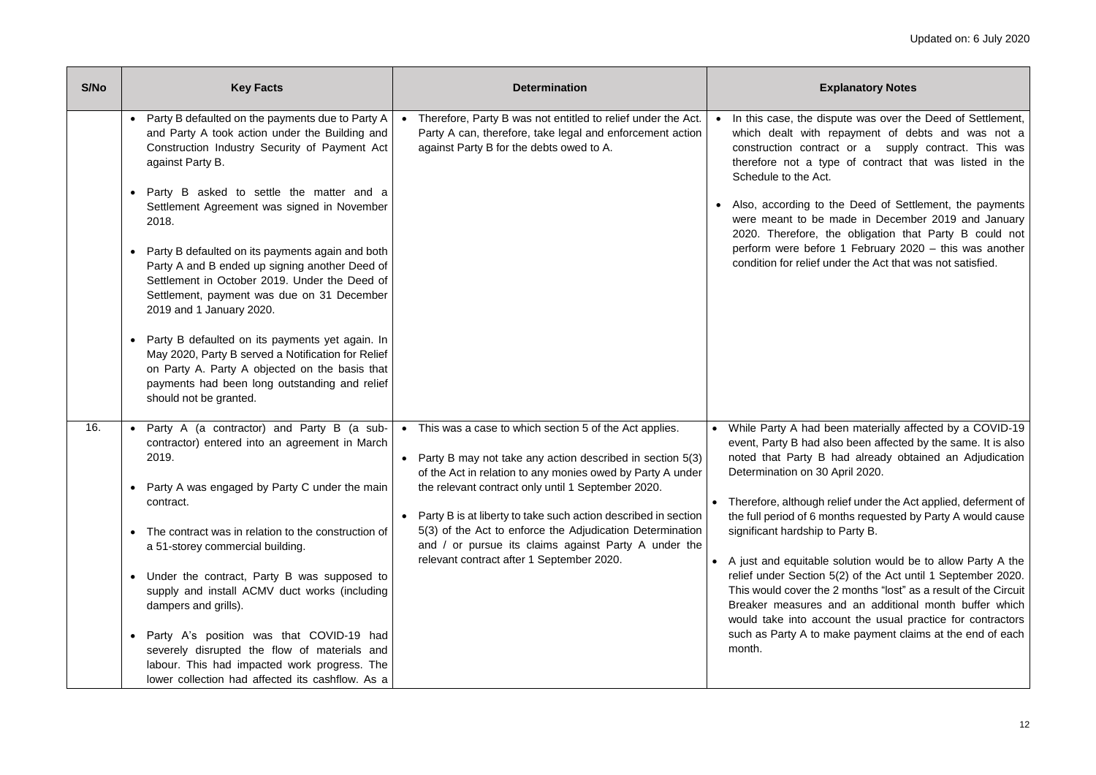ispute was over the Deed of Settlement, repayment of debts and was not a act or a supply contract. This was ype of contract that was listed in the

the Deed of Settlement, the payments made in December 2019 and January the obligation that Party B could not ore 1 February 2020 – this was another under the Act that was not satisfied.

been materially affected by a COVID-19 also been affected by the same. It is also had already obtained an Adjudication Determination April 2020.

relief under the Act applied, deferment of nonths requested by Party A would cause to Party B.

solution would be to allow Party A the 5(2) of the Act until 1 September 2020. e 2 months "lost" as a result of the Circuit and an additional month buffer which count the usual practice for contractors make payment claims at the end of each

| S/No | <b>Key Facts</b>                                                                                                                                                                                                                                                                                                                                                                                                                                                                                                                                                                                                                                                                                                                                                     | <b>Determination</b>                                                                                                                                                                                                                                                                                                                                                                                                                                                          | Ex                                                                                                                                                                                                                                                                                                                                          |
|------|----------------------------------------------------------------------------------------------------------------------------------------------------------------------------------------------------------------------------------------------------------------------------------------------------------------------------------------------------------------------------------------------------------------------------------------------------------------------------------------------------------------------------------------------------------------------------------------------------------------------------------------------------------------------------------------------------------------------------------------------------------------------|-------------------------------------------------------------------------------------------------------------------------------------------------------------------------------------------------------------------------------------------------------------------------------------------------------------------------------------------------------------------------------------------------------------------------------------------------------------------------------|---------------------------------------------------------------------------------------------------------------------------------------------------------------------------------------------------------------------------------------------------------------------------------------------------------------------------------------------|
|      | Party B defaulted on the payments due to Party A<br>$\bullet$<br>and Party A took action under the Building and<br>Construction Industry Security of Payment Act<br>against Party B.<br>Party B asked to settle the matter and a<br>٠<br>Settlement Agreement was signed in November<br>2018.<br>Party B defaulted on its payments again and both<br>Party A and B ended up signing another Deed of<br>Settlement in October 2019. Under the Deed of<br>Settlement, payment was due on 31 December<br>2019 and 1 January 2020.<br>Party B defaulted on its payments yet again. In<br>May 2020, Party B served a Notification for Relief<br>on Party A. Party A objected on the basis that<br>payments had been long outstanding and relief<br>should not be granted. | Therefore, Party B was not entitled to relief under the Act.<br>$\bullet$<br>Party A can, therefore, take legal and enforcement action<br>against Party B for the debts owed to A.                                                                                                                                                                                                                                                                                            | In this case, the disp<br>which dealt with re<br>construction contrad<br>therefore not a typ<br>Schedule to the Act.<br>Also, according to tl<br>were meant to be n<br>2020. Therefore, th<br>perform were before<br>condition for relief un                                                                                                |
| 16.  | Party A (a contractor) and Party B (a sub-<br>$\bullet$<br>contractor) entered into an agreement in March<br>2019.<br>Party A was engaged by Party C under the main<br>$\bullet$<br>contract.<br>The contract was in relation to the construction of<br>$\bullet$<br>a 51-storey commercial building.<br>Under the contract, Party B was supposed to<br>$\bullet$<br>supply and install ACMV duct works (including<br>dampers and grills).<br>Party A's position was that COVID-19 had<br>$\bullet$<br>severely disrupted the flow of materials and<br>labour. This had impacted work progress. The<br>lower collection had affected its cashflow. As a                                                                                                              | • This was a case to which section 5 of the Act applies.<br>Party B may not take any action described in section 5(3)<br>of the Act in relation to any monies owed by Party A under<br>the relevant contract only until 1 September 2020.<br>Party B is at liberty to take such action described in section<br>5(3) of the Act to enforce the Adjudication Determination<br>and / or pursue its claims against Party A under the<br>relevant contract after 1 September 2020. | While Party A had be<br>event, Party B had als<br>noted that Party B I<br>Determination on 30 /<br>Therefore, although re<br>the full period of 6 mo<br>significant hardship to<br>A just and equitable<br>relief under Section 5<br>This would cover the:<br>Breaker measures a<br>would take into acco<br>such as Party A to ma<br>month. |